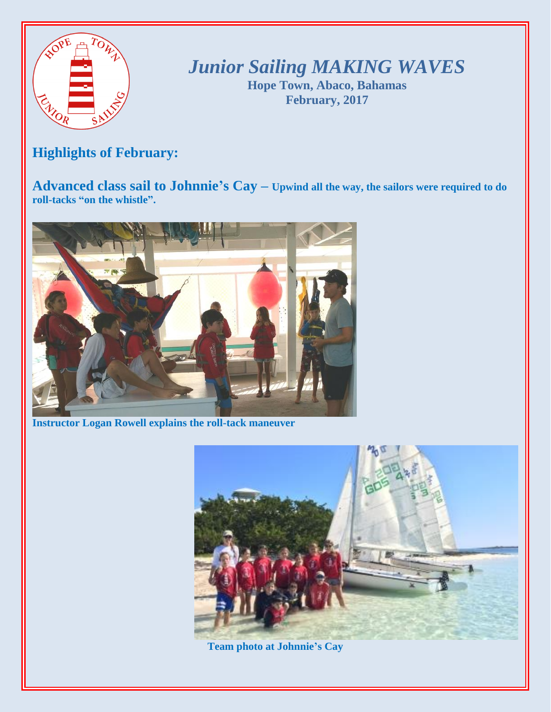

*Junior Sailing MAKING WAVES*

**Hope Town, Abaco, Bahamas February, 2017**

## **Highlights of February:**

**Advanced class sail to Johnnie's Cay – Upwind all the way, the sailors were required to do roll-tacks "on the whistle".**



**Instructor Logan Rowell explains the roll-tack maneuver**



**Team photo at Johnnie's Cay**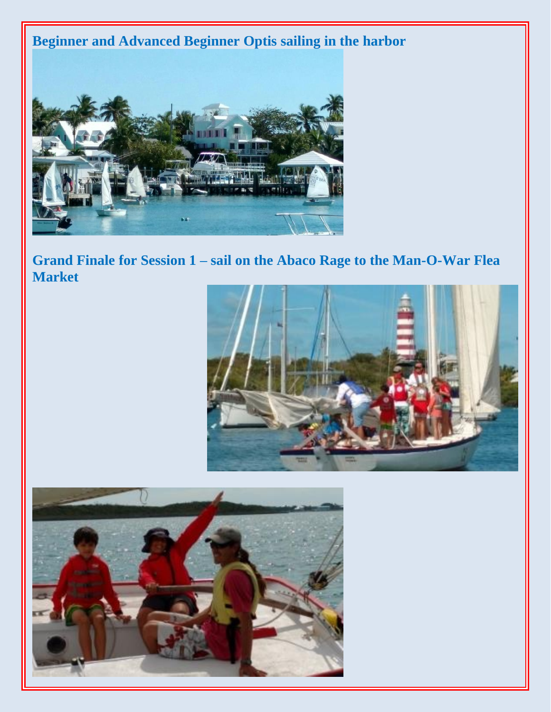**Beginner and Advanced Beginner Optis sailing in the harbor** 



Grand Finale for Session 1 - sail on the Abaco Rage to the Man-O-War Flea **Market**